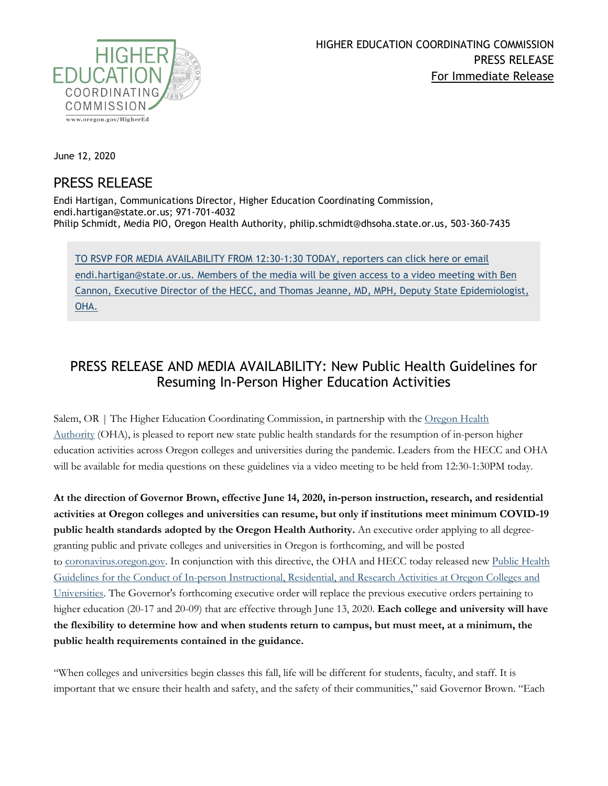

June 12, 2020

## PRESS RELEASE

Endi Hartigan, Communications Director, Higher Education Coordinating Commission, endi.hartigan@state.or.us; 971-701-4032 Philip Schmidt, Media PIO, Oregon Health Authority, philip.schmidt@dhsoha.state.or.us, 503-360-7435

[TO RSVP FOR MEDIA AVAILABILITY FROM 12:30-1:30 TODAY, reporters can click here or email](mailto:endi.hartigan@state.or.us?subject=RSVP%20to%20media%20availability&body=Please%20send%20me%20the%20video%20link%20for%20today%27s%20media%20availability%20with%20OHA%20and%20HECC%20representatives.)  [endi.hartigan@state.or.us. Members of the media will be given access to a video meeting with Ben](mailto:endi.hartigan@state.or.us?subject=RSVP%20to%20media%20availability&body=Please%20send%20me%20the%20video%20link%20for%20today%27s%20media%20availability%20with%20OHA%20and%20HECC%20representatives.)  [Cannon, Executive Director of the HECC, and Thomas Jeanne, MD, MPH, Deputy State Epidemiologist,](mailto:endi.hartigan@state.or.us?subject=RSVP%20to%20media%20availability&body=Please%20send%20me%20the%20video%20link%20for%20today%27s%20media%20availability%20with%20OHA%20and%20HECC%20representatives.)  [OHA.](mailto:endi.hartigan@state.or.us?subject=RSVP%20to%20media%20availability&body=Please%20send%20me%20the%20video%20link%20for%20today%27s%20media%20availability%20with%20OHA%20and%20HECC%20representatives.)

## PRESS RELEASE AND MEDIA AVAILABILITY: New Public Health Guidelines for Resuming In-Person Higher Education Activities

Salem, OR | The Higher Education Coordinating Commission, in partnership with the Oregon Health [Authority](https://www.oregon.gov/oha/pages/index.aspx) (OHA), is pleased to report new state public health standards for the resumption of in-person higher education activities across Oregon colleges and universities during the pandemic. Leaders from the HECC and OHA will be available for media questions on these guidelines via a video meeting to be held from 12:30-1:30PM today.

**At the direction of Governor Brown, effective June 14, 2020, in-person instruction, research, and residential activities at Oregon colleges and universities can resume, but only if institutions meet minimum COVID-19 public health standards adopted by the Oregon Health Authority.** An executive order applying to all degreegranting public and private colleges and universities in Oregon is forthcoming, and will be posted to [coronavirus.oregon.gov.](https://govstatus.egov.com/or-covid-19/) In conjunction with this directive, the OHA and HECC today released new Public Health [Guidelines for the Conduct of In-person Instructional, Residential, and Research Activities at Oregon Colleges and](https://www.oregon.gov/highered/about/Documents/News-Updates/OHA-HECC-higher-education-health-standards-covid-FINAL.pdf)  [Universities.](https://www.oregon.gov/highered/about/Documents/News-Updates/OHA-HECC-higher-education-health-standards-covid-FINAL.pdf) The Governor's forthcoming executive order will replace the previous executive orders pertaining to higher education (20-17 and 20-09) that are effective through June 13, 2020. **Each college and university will have the flexibility to determine how and when students return to campus, but must meet, at a minimum, the public health requirements contained in the guidance.**

"When colleges and universities begin classes this fall, life will be different for students, faculty, and staff. It is important that we ensure their health and safety, and the safety of their communities," said Governor Brown. "Each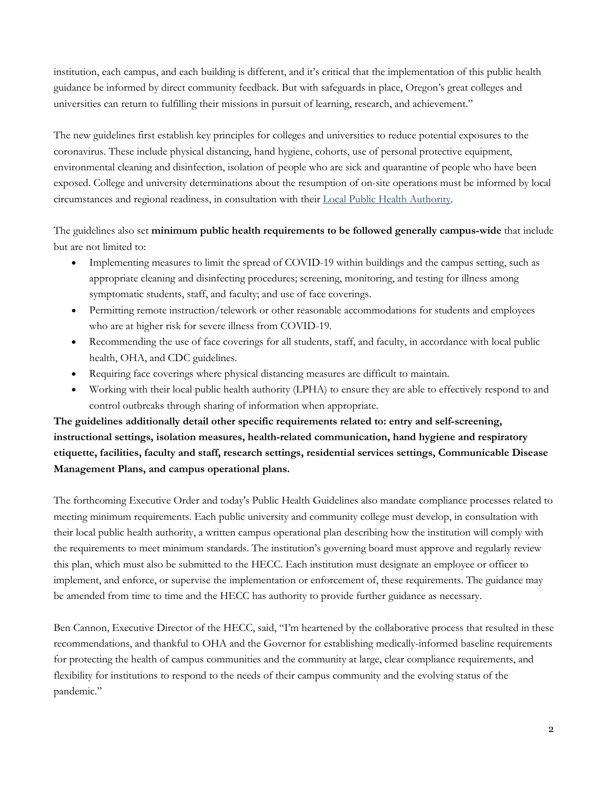institution, each campus, and each building is different, and it's critical that the implementation of this public health guidance be informed by direct community feedback. But with safeguards in place, Oregon's great colleges and universities can return to fulfilling their missions in pursuit of learning, research, and achievement."

The new guidelines first establish key principles for colleges and universities to reduce potential exposures to the coronavirus. These include physical distancing, hand hygiene, cohorts, use of personal protective equipment, environmental cleaning and disinfection, isolation of people who are sick and quarantine of people who have been exposed. College and university determinations about the resumption of on-site operations must be informed by local circumstances and regional readiness, in consultation with their [Local Public Health Authority.](https://www.oregon.gov/oha/ph/providerpartnerresources/localhealthdepartmentresources/pages/lhd.aspx)

The guidelines also set **minimum public health requirements to be followed generally campus-wide** that include but are not limited to:

- Implementing measures to limit the spread of COVID-19 within buildings and the campus setting, such as appropriate cleaning and disinfecting procedures; screening, monitoring, and testing for illness among symptomatic students, staff, and faculty; and use of face coverings.
- Permitting remote instruction/telework or other reasonable accommodations for students and employees who are at higher risk for severe illness from COVID-19.
- Recommending the use of face coverings for all students, staff, and faculty, in accordance with local public health, OHA, and CDC guidelines.
- Requiring face coverings where physical distancing measures are difficult to maintain.
- Working with their local public health authority (LPHA) to ensure they are able to effectively respond to and control outbreaks through sharing of information when appropriate.

**The guidelines additionally detail other specific requirements related to: entry and self-screening, instructional settings, isolation measures, health-related communication, hand hygiene and respiratory etiquette, facilities, faculty and staff, research settings, residential services settings, Communicable Disease Management Plans, and campus operational plans.**

The forthcoming Executive Order and today's Public Health Guidelines also mandate compliance processes related to meeting minimum requirements. Each public university and community college must develop, in consultation with their local public health authority, a written campus operational plan describing how the institution will comply with the requirements to meet minimum standards. The institution's governing board must approve and regularly review this plan, which must also be submitted to the HECC. Each institution must designate an employee or officer to implement, and enforce, or supervise the implementation or enforcement of, these requirements. The guidance may be amended from time to time and the HECC has authority to provide further guidance as necessary.

Ben Cannon, Executive Director of the HECC, said, "I'm heartened by the collaborative process that resulted in these recommendations, and thankful to OHA and the Governor for establishing medically-informed baseline requirements for protecting the health of campus communities and the community at large, clear compliance requirements, and flexibility for institutions to respond to the needs of their campus community and the evolving status of the pandemic."